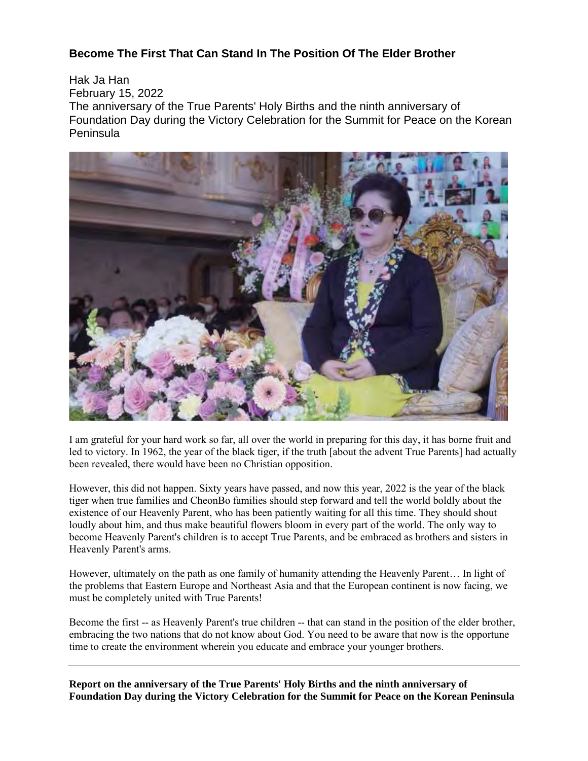## **Become The First That Can Stand In The Position Of The Elder Brother**

Hak Ja Han February 15, 2022 The anniversary of the True Parents' Holy Births and the ninth anniversary of Foundation Day during the Victory Celebration for the Summit for Peace on the Korean Peninsula



I am grateful for your hard work so far, all over the world in preparing for this day, it has borne fruit and led to victory. In 1962, the year of the black tiger, if the truth [about the advent True Parents] had actually been revealed, there would have been no Christian opposition.

However, this did not happen. Sixty years have passed, and now this year, 2022 is the year of the black tiger when true families and CheonBo families should step forward and tell the world boldly about the existence of our Heavenly Parent, who has been patiently waiting for all this time. They should shout loudly about him, and thus make beautiful flowers bloom in every part of the world. The only way to become Heavenly Parent's children is to accept True Parents, and be embraced as brothers and sisters in Heavenly Parent's arms.

However, ultimately on the path as one family of humanity attending the Heavenly Parent… In light of the problems that Eastern Europe and Northeast Asia and that the European continent is now facing, we must be completely united with True Parents!

Become the first -- as Heavenly Parent's true children -- that can stand in the position of the elder brother, embracing the two nations that do not know about God. You need to be aware that now is the opportune time to create the environment wherein you educate and embrace your younger brothers.

**Report on the anniversary of the True Parents' Holy Births and the ninth anniversary of Foundation Day during the Victory Celebration for the Summit for Peace on the Korean Peninsula**